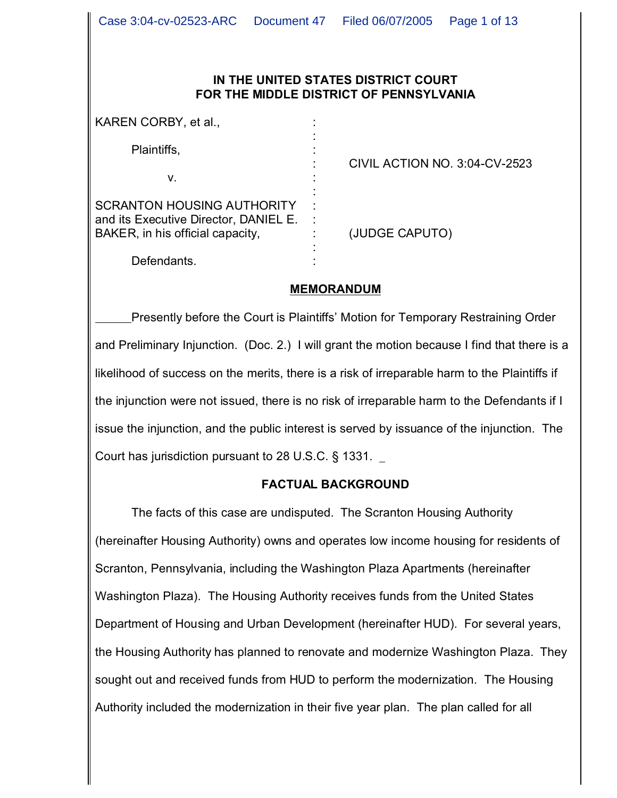## **IN THE UNITED STATES DISTRICT COURT FOR THE MIDDLE DISTRICT OF PENNSYLVANIA**

| KAREN CORBY, et al.,                                                                                           |                               |
|----------------------------------------------------------------------------------------------------------------|-------------------------------|
| Plaintiffs,                                                                                                    | CIVIL ACTION NO. 3:04-CV-2523 |
| ν.                                                                                                             |                               |
| <b>SCRANTON HOUSING AUTHORITY</b><br>and its Executive Director, DANIEL E.<br>BAKER, in his official capacity, | (JUDGE CAPUTO)                |
| Defendants.                                                                                                    |                               |

### **MEMORANDUM**

Presently before the Court is Plaintiffs' Motion for Temporary Restraining Order and Preliminary Injunction. (Doc. 2.) I will grant the motion because I find that there is a likelihood of success on the merits, there is a risk of irreparable harm to the Plaintiffs if the injunction were not issued, there is no risk of irreparable harm to the Defendants if I issue the injunction, and the public interest is served by issuance of the injunction. The Court has jurisdiction pursuant to 28 U.S.C. § 1331.

#### **FACTUAL BACKGROUND**

The facts of this case are undisputed. The Scranton Housing Authority (hereinafter Housing Authority) owns and operates low income housing for residents of Scranton, Pennsylvania, including the Washington Plaza Apartments (hereinafter Washington Plaza). The Housing Authority receives funds from the United States Department of Housing and Urban Development (hereinafter HUD). For several years, the Housing Authority has planned to renovate and modernize Washington Plaza. They sought out and received funds from HUD to perform the modernization. The Housing Authority included the modernization in their five year plan. The plan called for all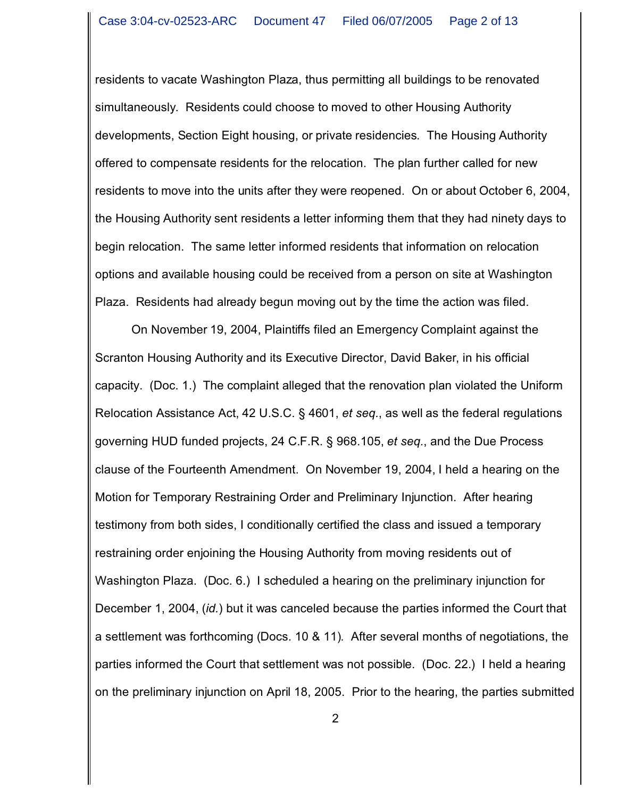residents to vacate Washington Plaza, thus permitting all buildings to be renovated simultaneously. Residents could choose to moved to other Housing Authority developments, Section Eight housing, or private residencies. The Housing Authority offered to compensate residents for the relocation. The plan further called for new residents to move into the units after they were reopened. On or about October 6, 2004, the Housing Authority sent residents a letter informing them that they had ninety days to begin relocation. The same letter informed residents that information on relocation options and available housing could be received from a person on site at Washington Plaza. Residents had already begun moving out by the time the action was filed.

On November 19, 2004, Plaintiffs filed an Emergency Complaint against the Scranton Housing Authority and its Executive Director, David Baker, in his official capacity. (Doc. 1.) The complaint alleged that the renovation plan violated the Uniform Relocation Assistance Act, 42 U.S.C. § 4601, *et seq.*, as well as the federal regulations governing HUD funded projects, 24 C.F.R. § 968.105, *et seq.*, and the Due Process clause of the Fourteenth Amendment. On November 19, 2004, I held a hearing on the Motion for Temporary Restraining Order and Preliminary Injunction. After hearing testimony from both sides, I conditionally certified the class and issued a temporary restraining order enjoining the Housing Authority from moving residents out of Washington Plaza. (Doc. 6.) I scheduled a hearing on the preliminary injunction for December 1, 2004, (*id.*) but it was canceled because the parties informed the Court that a settlement was forthcoming (Docs. 10 & 11). After several months of negotiations, the parties informed the Court that settlement was not possible. (Doc. 22.) I held a hearing on the preliminary injunction on April 18, 2005. Prior to the hearing, the parties submitted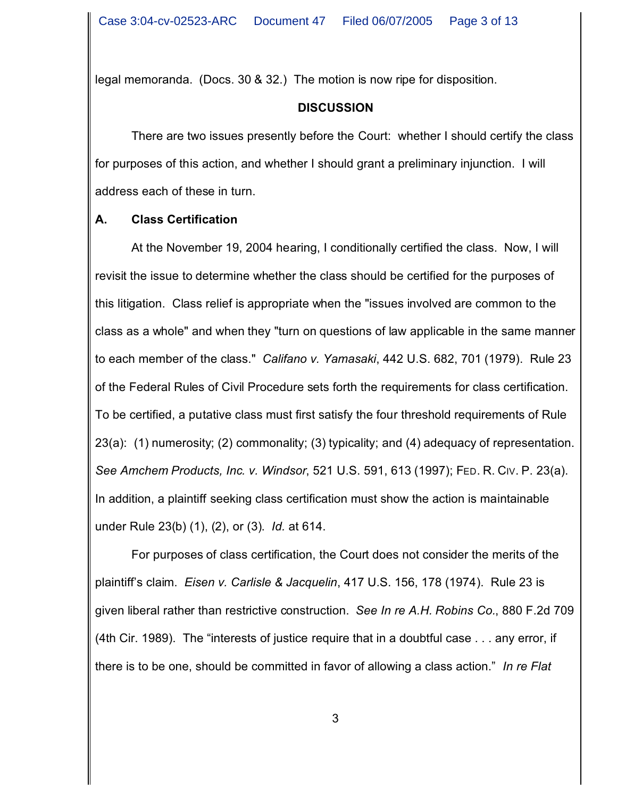legal memoranda. (Docs. 30 & 32.) The motion is now ripe for disposition.

## **DISCUSSION**

There are two issues presently before the Court: whether I should certify the class for purposes of this action, and whether I should grant a preliminary injunction. I will address each of these in turn.

# **A. Class Certification**

At the November 19, 2004 hearing, I conditionally certified the class. Now, I will revisit the issue to determine whether the class should be certified for the purposes of this litigation. Class relief is appropriate when the "issues involved are common to the class as a whole" and when they "turn on questions of law applicable in the same manner to each member of the class." *Califano v. Yamasaki*, 442 U.S. 682, 701 (1979). Rule 23 of the Federal Rules of Civil Procedure sets forth the requirements for class certification. To be certified, a putative class must first satisfy the four threshold requirements of Rule 23(a): (1) numerosity; (2) commonality; (3) typicality; and (4) adequacy of representation. *See Amchem Products, Inc. v. Windsor*, 521 U.S. 591, 613 (1997); FED. R. CIV. P. 23(a). In addition, a plaintiff seeking class certification must show the action is maintainable under Rule 23(b) (1), (2), or (3). *Id.* at 614.

For purposes of class certification, the Court does not consider the merits of the plaintiff's claim. *Eisen v. Carlisle & Jacquelin*, 417 U.S. 156, 178 (1974). Rule 23 is given liberal rather than restrictive construction. *See In re A.H. Robins Co.*, 880 F.2d 709 (4th Cir. 1989). The "interests of justice require that in a doubtful case . . . any error, if there is to be one, should be committed in favor of allowing a class action." *In re Flat*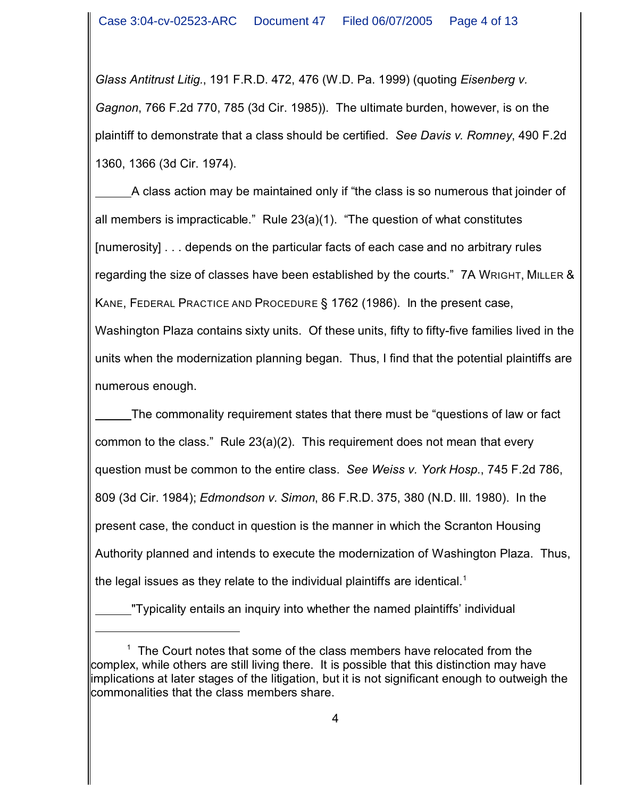*Glass Antitrust Litig.*, 191 F.R.D. 472, 476 (W.D. Pa. 1999) (quoting *Eisenberg v. Gagnon*, 766 F.2d 770, 785 (3d Cir. 1985)). The ultimate burden, however, is on the plaintiff to demonstrate that a class should be certified. *See Davis v. Romney*, 490 F.2d 1360, 1366 (3d Cir. 1974).

A class action may be maintained only if "the class is so numerous that joinder of all members is impracticable." Rule 23(a)(1). "The question of what constitutes [numerosity] . . . depends on the particular facts of each case and no arbitrary rules regarding the size of classes have been established by the courts." 7A WRIGHT, MILLER & KANE, FEDERAL PRACTICE AND PROCEDURE § 1762 (1986). In the present case, Washington Plaza contains sixty units. Of these units, fifty to fifty-five families lived in the

units when the modernization planning began. Thus, I find that the potential plaintiffs are numerous enough.

The commonality requirement states that there must be "questions of law or fact common to the class." Rule 23(a)(2). This requirement does not mean that every question must be common to the entire class. *See Weiss v. York Hosp.*, 745 F.2d 786, 809 (3d Cir. 1984); *Edmondson v. Simon*, 86 F.R.D. 375, 380 (N.D. Ill. 1980). In the present case, the conduct in question is the manner in which the Scranton Housing Authority planned and intends to execute the modernization of Washington Plaza. Thus, the legal issues as they relate to the individual plaintiffs are identical.<sup>1</sup>

"Typicality entails an inquiry into whether the named plaintiffs' individual

 $<sup>1</sup>$  The Court notes that some of the class members have relocated from the</sup> complex, while others are still living there. It is possible that this distinction may have implications at later stages of the litigation, but it is not significant enough to outweigh the commonalities that the class members share.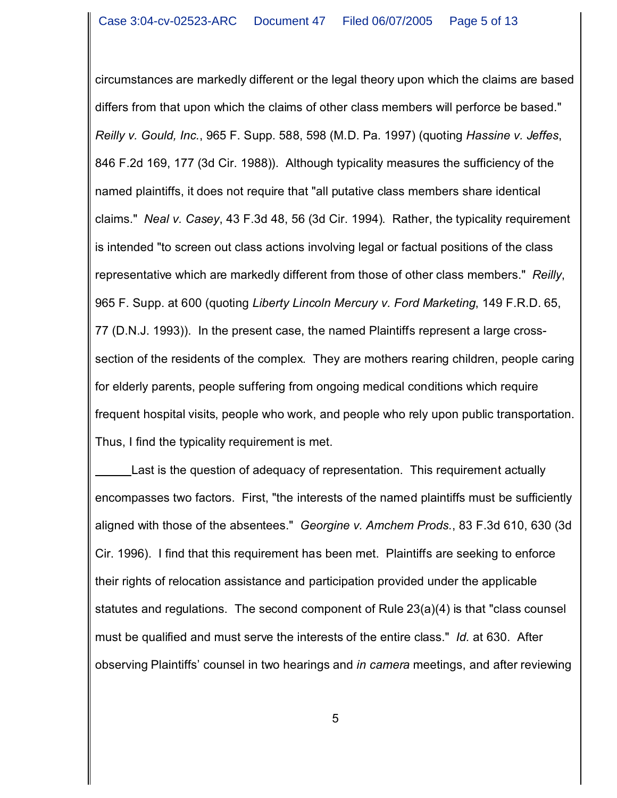circumstances are markedly different or the legal theory upon which the claims are based differs from that upon which the claims of other class members will perforce be based." *Reilly v. Gould, Inc.*, 965 F. Supp. 588, 598 (M.D. Pa. 1997) (quoting *Hassine v. Jeffes*, 846 F.2d 169, 177 (3d Cir. 1988)). Although typicality measures the sufficiency of the named plaintiffs, it does not require that "all putative class members share identical claims." *Neal v. Casey*, 43 F.3d 48, 56 (3d Cir. 1994). Rather, the typicality requirement is intended "to screen out class actions involving legal or factual positions of the class representative which are markedly different from those of other class members." *Reilly*, 965 F. Supp. at 600 (quoting *Liberty Lincoln Mercury v. Ford Marketing*, 149 F.R.D. 65, 77 (D.N.J. 1993)). In the present case, the named Plaintiffs represent a large crosssection of the residents of the complex. They are mothers rearing children, people caring for elderly parents, people suffering from ongoing medical conditions which require frequent hospital visits, people who work, and people who rely upon public transportation. Thus, I find the typicality requirement is met.

Last is the question of adequacy of representation. This requirement actually encompasses two factors. First, "the interests of the named plaintiffs must be sufficiently aligned with those of the absentees." *Georgine v. Amchem Prods.*, 83 F.3d 610, 630 (3d Cir. 1996). I find that this requirement has been met. Plaintiffs are seeking to enforce their rights of relocation assistance and participation provided under the applicable statutes and regulations. The second component of Rule 23(a)(4) is that "class counsel must be qualified and must serve the interests of the entire class." *Id.* at 630. After observing Plaintiffs' counsel in two hearings and *in camera* meetings, and after reviewing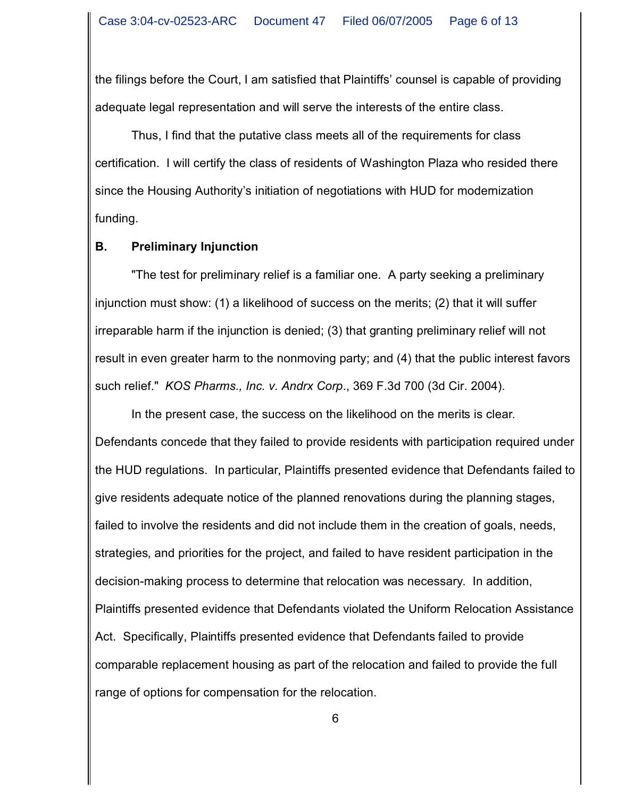the filings before the Court, I am satisfied that Plaintiffs' counsel is capable of providing adequate legal representation and will serve the interests of the entire class.

Thus, I find that the putative class meets all of the requirements for class certification. I will certify the class of residents of Washington Plaza who resided there since the Housing Authority's initiation of negotiations with HUD for modernization funding.

# **B. Preliminary Injunction**

"The test for preliminary relief is a familiar one. A party seeking a preliminary injunction must show: (1) a likelihood of success on the merits; (2) that it will suffer irreparable harm if the injunction is denied; (3) that granting preliminary relief will not result in even greater harm to the nonmoving party; and (4) that the public interest favors such relief." *KOS Pharms., Inc. v. Andrx Corp*., 369 F.3d 700 (3d Cir. 2004).

In the present case, the success on the likelihood on the merits is clear. Defendants concede that they failed to provide residents with participation required under the HUD regulations. In particular, Plaintiffs presented evidence that Defendants failed to give residents adequate notice of the planned renovations during the planning stages, failed to involve the residents and did not include them in the creation of goals, needs, strategies, and priorities for the project, and failed to have resident participation in the decision-making process to determine that relocation was necessary. In addition, Plaintiffs presented evidence that Defendants violated the Uniform Relocation Assistance Act. Specifically, Plaintiffs presented evidence that Defendants failed to provide comparable replacement housing as part of the relocation and failed to provide the full range of options for compensation for the relocation.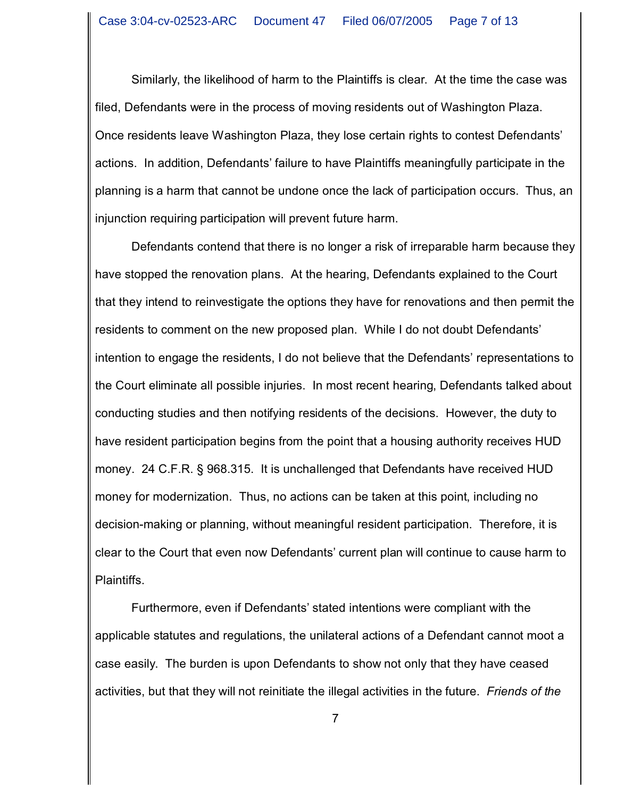Similarly, the likelihood of harm to the Plaintiffs is clear. At the time the case was filed, Defendants were in the process of moving residents out of Washington Plaza. Once residents leave Washington Plaza, they lose certain rights to contest Defendants' actions. In addition, Defendants' failure to have Plaintiffs meaningfully participate in the planning is a harm that cannot be undone once the lack of participation occurs. Thus, an injunction requiring participation will prevent future harm.

Defendants contend that there is no longer a risk of irreparable harm because they have stopped the renovation plans. At the hearing, Defendants explained to the Court that they intend to reinvestigate the options they have for renovations and then permit the residents to comment on the new proposed plan. While I do not doubt Defendants' intention to engage the residents, I do not believe that the Defendants' representations to the Court eliminate all possible injuries. In most recent hearing, Defendants talked about conducting studies and then notifying residents of the decisions. However, the duty to have resident participation begins from the point that a housing authority receives HUD money. 24 C.F.R. § 968.315. It is unchallenged that Defendants have received HUD money for modernization. Thus, no actions can be taken at this point, including no decision-making or planning, without meaningful resident participation. Therefore, it is clear to the Court that even now Defendants' current plan will continue to cause harm to Plaintiffs.

Furthermore, even if Defendants' stated intentions were compliant with the applicable statutes and regulations, the unilateral actions of a Defendant cannot moot a case easily. The burden is upon Defendants to show not only that they have ceased activities, but that they will not reinitiate the illegal activities in the future. *Friends of the*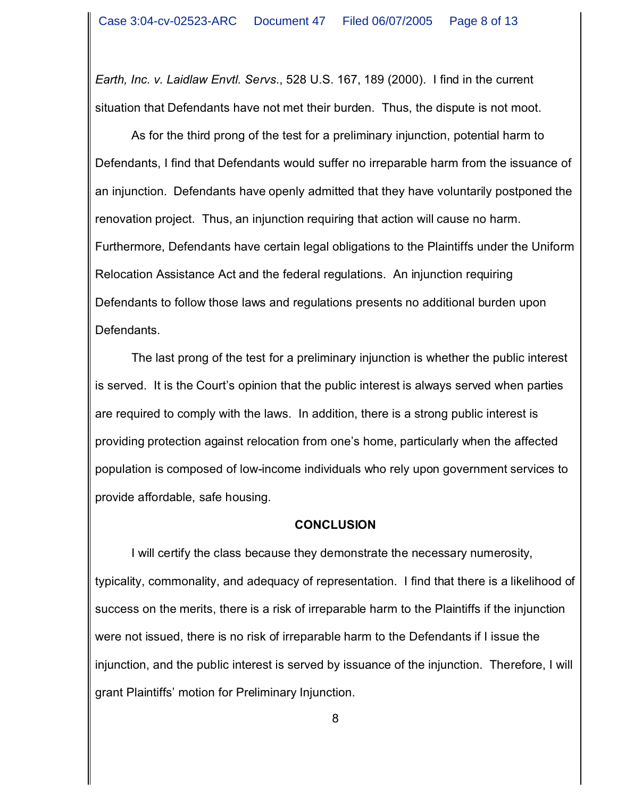*Earth, Inc. v. Laidlaw Envtl. Servs*., 528 U.S. 167, 189 (2000). I find in the current situation that Defendants have not met their burden. Thus, the dispute is not moot.

As for the third prong of the test for a preliminary injunction, potential harm to Defendants, I find that Defendants would suffer no irreparable harm from the issuance of an injunction. Defendants have openly admitted that they have voluntarily postponed the renovation project. Thus, an injunction requiring that action will cause no harm. Furthermore, Defendants have certain legal obligations to the Plaintiffs under the Uniform Relocation Assistance Act and the federal regulations. An injunction requiring Defendants to follow those laws and regulations presents no additional burden upon Defendants.

The last prong of the test for a preliminary injunction is whether the public interest is served. It is the Court's opinion that the public interest is always served when parties are required to comply with the laws. In addition, there is a strong public interest is providing protection against relocation from one's home, particularly when the affected population is composed of low-income individuals who rely upon government services to provide affordable, safe housing.

## **CONCLUSION**

I will certify the class because they demonstrate the necessary numerosity, typicality, commonality, and adequacy of representation. I find that there is a likelihood of success on the merits, there is a risk of irreparable harm to the Plaintiffs if the injunction were not issued, there is no risk of irreparable harm to the Defendants if I issue the injunction, and the public interest is served by issuance of the injunction. Therefore, I will grant Plaintiffs' motion for Preliminary Injunction.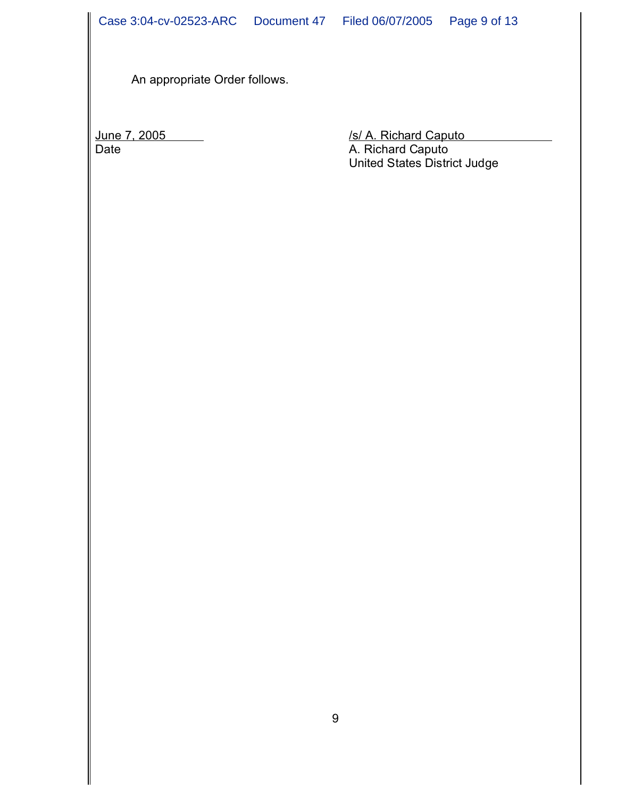An appropriate Order follows.

June 7, 2005 /s/ A. Richard Caputo<br>Date /s/ A. Richard Caputo Date **Date** A. Richard Caputo United States District Judge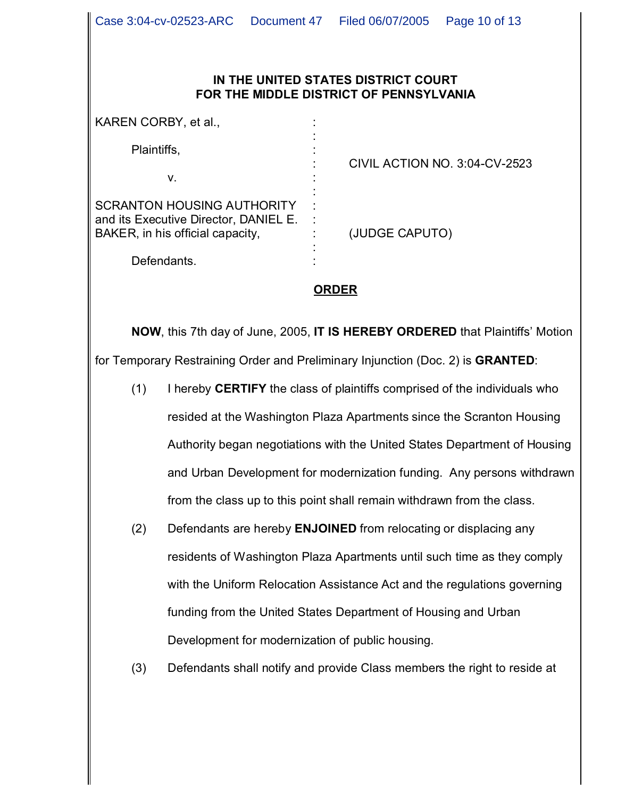|             | KAREN CORBY, et al.,                                                                                                          |                                                                                 |
|-------------|-------------------------------------------------------------------------------------------------------------------------------|---------------------------------------------------------------------------------|
| Plaintiffs, |                                                                                                                               |                                                                                 |
|             | V.                                                                                                                            | <b>CIVIL ACTION NO. 3:04-CV-2523</b>                                            |
|             | <b>SCRANTON HOUSING AUTHORITY</b><br>and its Executive Director, DANIEL E.<br>BAKER, in his official capacity,<br>Defendants. | (JUDGE CAPUTO)                                                                  |
|             |                                                                                                                               | <b>ORDER</b>                                                                    |
|             |                                                                                                                               |                                                                                 |
|             |                                                                                                                               | NOW, this 7th day of June, 2005, IT IS HEREBY ORDERED that Plaintiffs' Motion   |
|             |                                                                                                                               | for Temporary Restraining Order and Preliminary Injunction (Doc. 2) is GRANTED: |
| (1)         | I hereby CERTIFY the class of plaintiffs comprised of the individuals who                                                     |                                                                                 |
|             | resided at the Washington Plaza Apartments since the Scranton Housing                                                         |                                                                                 |
|             |                                                                                                                               | Authority began negotiations with the United States Department of Housing       |
|             |                                                                                                                               | and Urban Development for modernization funding. Any persons withdrawn          |
|             |                                                                                                                               | from the class up to this point shall remain withdrawn from the class.          |
| (2)         |                                                                                                                               | Defendants are hereby ENJOINED from relocating or displacing any                |
|             | residents of Washington Plaza Apartments until such time as they comply                                                       |                                                                                 |
|             | with the Uniform Relocation Assistance Act and the regulations governing                                                      |                                                                                 |
|             |                                                                                                                               | funding from the United States Department of Housing and Urban                  |
|             | Development for modernization of public housing.                                                                              |                                                                                 |
| (3)         |                                                                                                                               | Defendants shall notify and provide Class members the right to reside at        |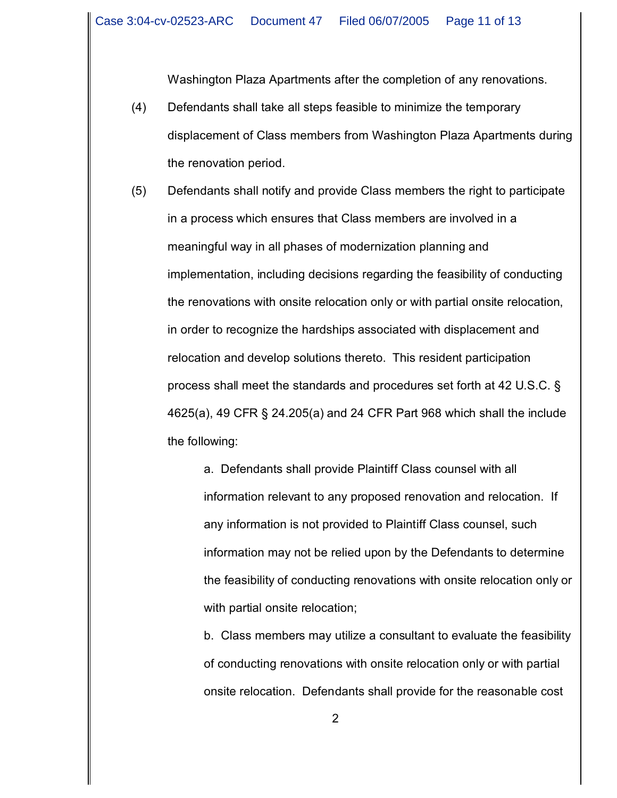Washington Plaza Apartments after the completion of any renovations.

- (4) Defendants shall take all steps feasible to minimize the temporary displacement of Class members from Washington Plaza Apartments during the renovation period.
- (5) Defendants shall notify and provide Class members the right to participate in a process which ensures that Class members are involved in a meaningful way in all phases of modernization planning and implementation, including decisions regarding the feasibility of conducting the renovations with onsite relocation only or with partial onsite relocation, in order to recognize the hardships associated with displacement and relocation and develop solutions thereto. This resident participation process shall meet the standards and procedures set forth at 42 U.S.C. § 4625(a), 49 CFR § 24.205(a) and 24 CFR Part 968 which shall the include the following:

a. Defendants shall provide Plaintiff Class counsel with all information relevant to any proposed renovation and relocation. If any information is not provided to Plaintiff Class counsel, such information may not be relied upon by the Defendants to determine the feasibility of conducting renovations with onsite relocation only or with partial onsite relocation;

b. Class members may utilize a consultant to evaluate the feasibility of conducting renovations with onsite relocation only or with partial onsite relocation. Defendants shall provide for the reasonable cost

2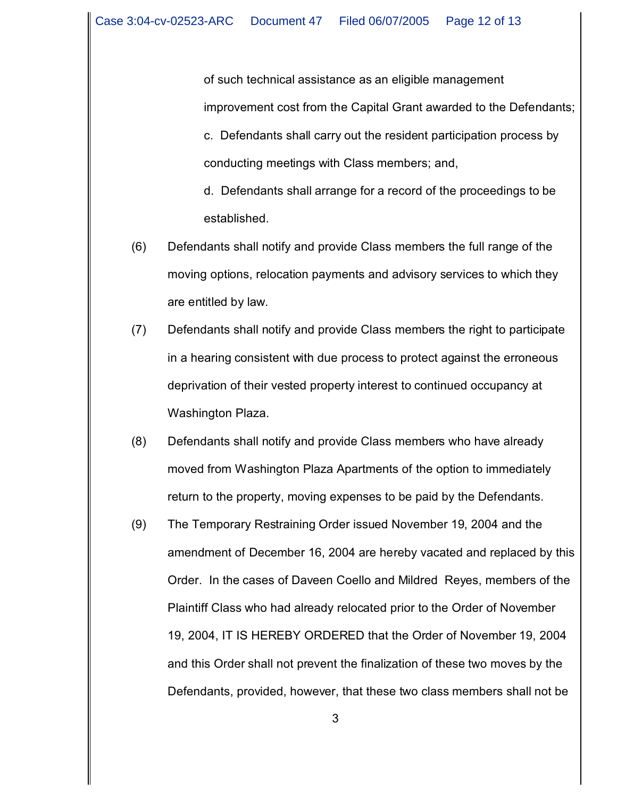of such technical assistance as an eligible management improvement cost from the Capital Grant awarded to the Defendants; c. Defendants shall carry out the resident participation process by conducting meetings with Class members; and,

d. Defendants shall arrange for a record of the proceedings to be established.

- (6) Defendants shall notify and provide Class members the full range of the moving options, relocation payments and advisory services to which they are entitled by law.
- (7) Defendants shall notify and provide Class members the right to participate in a hearing consistent with due process to protect against the erroneous deprivation of their vested property interest to continued occupancy at Washington Plaza.
- (8) Defendants shall notify and provide Class members who have already moved from Washington Plaza Apartments of the option to immediately return to the property, moving expenses to be paid by the Defendants.
- (9) The Temporary Restraining Order issued November 19, 2004 and the amendment of December 16, 2004 are hereby vacated and replaced by this Order. In the cases of Daveen Coello and Mildred Reyes, members of the Plaintiff Class who had already relocated prior to the Order of November 19, 2004, IT IS HEREBY ORDERED that the Order of November 19, 2004 and this Order shall not prevent the finalization of these two moves by the Defendants, provided, however, that these two class members shall not be